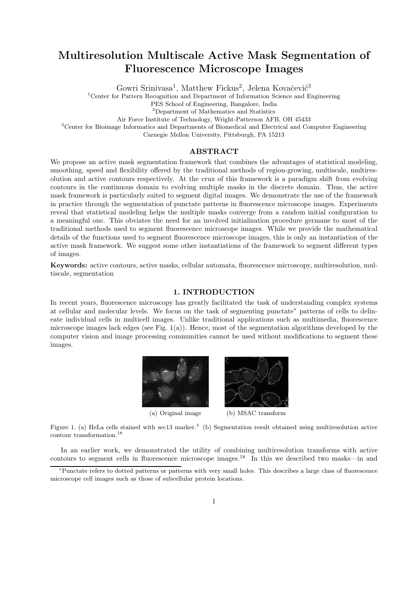# Multiresolution Multiscale Active Mask Segmentation of Fluorescence Microscope Images

Gowri Srinivasa<sup>1</sup>, Matthew Fickus<sup>2</sup>, Jelena Kovačević<sup>3</sup>

<sup>1</sup>Center for Pattern Recognition and Department of Information Science and Engineering

PES School of Engineering, Bangalore, India

<sup>2</sup>Department of Mathematics and Statistics

Air Force Institute of Technology, Wright-Patterson AFB, OH 45433

<sup>3</sup>Center for Bioimage Informatics and Departments of Biomedical and Electrical and Computer Engineering

Carnegie Mellon University, Pittsburgh, PA 15213

# ABSTRACT

We propose an active mask segmentation framework that combines the advantages of statistical modeling, smoothing, speed and flexibility offered by the traditional methods of region-growing, multiscale, multiresolution and active contours respectively. At the crux of this framework is a paradigm shift from evolving contours in the continuous domain to evolving multiple masks in the discrete domain. Thus, the active mask framework is particularly suited to segment digital images. We demonstrate the use of the framework in practice through the segmentation of punctate patterns in fluorescence microscope images. Experiments reveal that statistical modeling helps the multiple masks converge from a random initial configuration to a meaningful one. This obviates the need for an involved initialization procedure germane to most of the traditional methods used to segment fluorescence microscope images. While we provide the mathematical details of the functions used to segment fluorescence microscope images, this is only an instantiation of the active mask framework. We suggest some other instantiations of the framework to segment different types of images.

Keywords: active contours, active masks, cellular automata, fluorescence microscopy, multiresolution, multiscale, segmentation

## 1. INTRODUCTION

In recent years, fluorescence microscopy has greatly facilitated the task of understanding complex systems at cellular and molecular levels. We focus on the task of segmenting punctate<sup>∗</sup> patterns of cells to delineate individual cells in multicell images. Unlike traditional applications such as multimedia, fluorescence microscope images lack edges (see Fig.  $1(a)$ ). Hence, most of the segmentation algorithms developed by the computer vision and image processing communities cannot be used without modifications to segment these images.



Figure 1. (a) HeLa cells stained with sec13 marker.<sup>4</sup> (b) Segmentation result obtained using multiresolution active contour transformation.<sup>18</sup>

In an earlier work, we demonstrated the utility of combining multiresolution transforms with active contours to segment cells in fluorescence microscope images. <sup>18</sup> In this we described two masks—in and

<sup>∗</sup>Punctate refers to dotted patterns or patterns with very small holes. This describes a large class of fluorescence microscope cell images such as those of subcellular protein locations.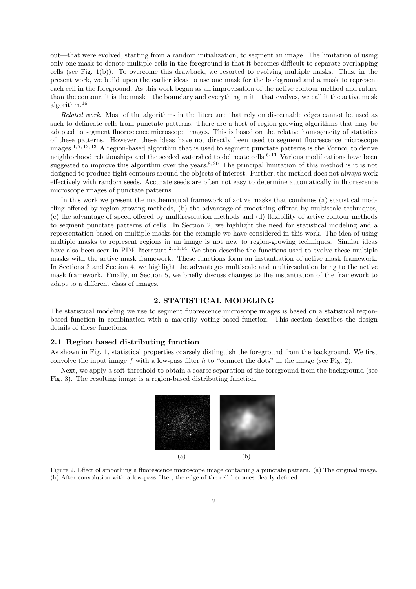out—that were evolved, starting from a random initialization, to segment an image. The limitation of using only one mask to denote multiple cells in the foreground is that it becomes difficult to separate overlapping cells (see Fig. 1(b)). To overcome this drawback, we resorted to evolving multiple masks. Thus, in the present work, we build upon the earlier ideas to use one mask for the background and a mask to represent each cell in the foreground. As this work began as an improvisation of the active contour method and rather than the contour, it is the mask—the boundary and everything in it—that evolves, we call it the active mask algorithm.<sup>16</sup>

Related work. Most of the algorithms in the literature that rely on discernable edges cannot be used as such to delineate cells from punctate patterns. There are a host of region-growing algorithms that may be adapted to segment fluorescence microscope images. This is based on the relative homogeneity of statistics of these patterns. However, these ideas have not directly been used to segment fluorescence microscope images.<sup>1,7, 12, 13</sup> A region-based algorithm that is used to segment punctate patterns is the Vornoi, to derive neighborhood relationships and the seeded watershed to delineate cells.<sup>6, 11</sup> Various modifications have been suggested to improve this algorithm over the years.<sup>8, 20</sup> The principal limitation of this method is it is not designed to produce tight contours around the objects of interest. Further, the method does not always work effectively with random seeds. Accurate seeds are often not easy to determine automatically in fluorescence microscope images of punctate patterns.

In this work we present the mathematical framework of active masks that combines (a) statistical modeling offered by region-growing methods, (b) the advantage of smoothing offered by multiscale techniques, (c) the advantage of speed offered by multiresolution methods and (d) flexibility of active contour methods to segment punctate patterns of cells. In Section 2, we highlight the need for statistical modeling and a representation based on multiple masks for the example we have considered in this work. The idea of using multiple masks to represent regions in an image is not new to region-growing techniques. Similar ideas have also been seen in PDE literature.<sup>2, 10, 14</sup> We then describe the functions used to evolve these multiple masks with the active mask framework. These functions form an instantiation of active mask framework. In Sections 3 and Section 4, we highlight the advantages multiscale and multiresolution bring to the active mask framework. Finally, in Section 5, we briefly discuss changes to the instantiation of the framework to adapt to a different class of images.

#### 2. STATISTICAL MODELING

The statistical modeling we use to segment fluorescence microscope images is based on a statistical regionbased function in combination with a majority voting-based function. This section describes the design details of these functions.

# 2.1 Region based distributing function

As shown in Fig. 1, statistical properties coarsely distinguish the foreground from the background. We first convolve the input image f with a low-pass filter h to "connect the dots" in the image (see Fig. 2).

Next, we apply a soft-threshold to obtain a coarse separation of the foreground from the background (see Fig. 3). The resulting image is a region-based distributing function,



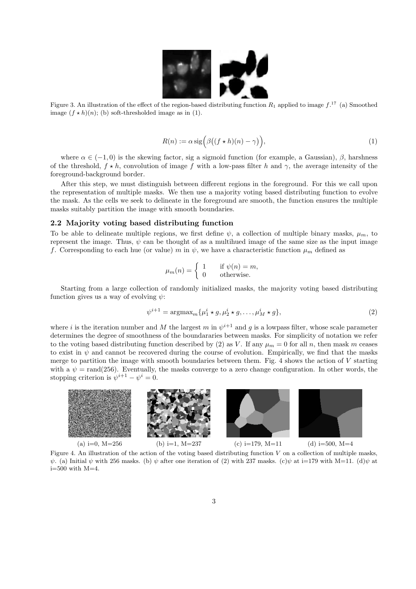

Figure 3. An illustration of the effect of the region-based distributing function  $R_1$  applied to image  $f^{17}$  (a) Smoothed image  $(f \star h)(n)$ ; (b) soft-thresholded image as in (1).

$$
R(n) := \alpha \operatorname{sig} \left( \beta \big( (f \star h)(n) - \gamma \big) \right),\tag{1}
$$

where  $\alpha \in (-1,0)$  is the skewing factor, sig a sigmoid function (for example, a Gaussian),  $\beta$ , harshness of the threshold,  $f \star h$ , convolution of image f with a low-pass filter h and  $\gamma$ , the average intensity of the foreground-background border.

After this step, we must distinguish between different regions in the foreground. For this we call upon the representation of multiple masks. We then use a majority voting based distributing function to evolve the mask. As the cells we seek to delineate in the foreground are smooth, the function ensures the multiple masks suitably partition the image with smooth boundaries.

#### 2.2 Majority voting based distributing function

To be able to delineate multiple regions, we first define  $\psi$ , a collection of multiple binary masks,  $\mu_m$ , to represent the image. Thus,  $\psi$  can be thought of as a multihued image of the same size as the input image f. Corresponding to each hue (or value) m in  $\psi$ , we have a characteristic function  $\mu_m$  defined as

$$
\mu_m(n) = \begin{cases} 1 & \text{if } \psi(n) = m, \\ 0 & \text{otherwise.} \end{cases}
$$

Starting from a large collection of randomly initialized masks, the majority voting based distributing function gives us a way of evolving  $\psi$ :

$$
\psi^{i+1} = \operatorname{argmax}_{m} \{ \mu_1^i \star g, \mu_2^i \star g, \dots, \mu_M^i \star g \},\tag{2}
$$

where i is the iteration number and M the largest m in  $\psi^{i+1}$  and g is a lowpass filter, whose scale parameter determines the degree of smoothness of the boundararies between masks. For simplicity of notation we refer to the voting based distributing function described by (2) as V. If any  $\mu_m = 0$  for all n, then mask m ceases to exist in  $\psi$  and cannot be recovered during the course of evolution. Empirically, we find that the masks merge to partition the image with smooth boundaries between them. Fig. 4 shows the action of V starting with a  $\psi = \text{rand}(256)$ . Eventually, the masks converge to a zero change configuration. In other words, the stopping criterion is  $\psi^{i+1} - \psi^i = 0$ .



Figure 4. An illustration of the action of the voting based distributing function  $V$  on a collection of multiple masks,  $\psi$ . (a) Initial  $\psi$  with 256 masks. (b)  $\psi$  after one iteration of (2) with 237 masks. (c) $\psi$  at i=179 with M=11. (d) $\psi$  at  $i=500$  with  $M=4$ .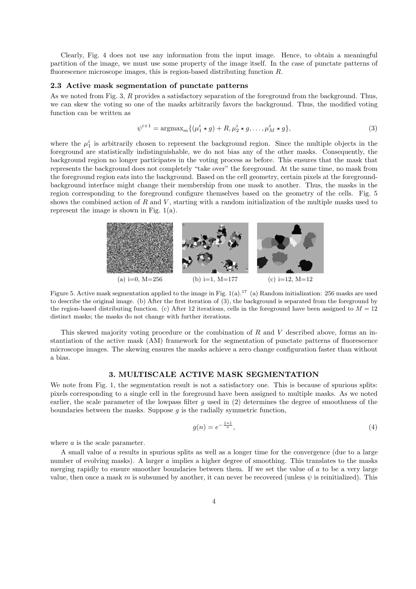Clearly, Fig. 4 does not use any information from the input image. Hence, to obtain a meaningful partition of the image, we must use some property of the image itself. In the case of punctate patterns of fluorescence microscope images, this is region-based distributing function R.

## 2.3 Active mask segmentation of punctate patterns

As we noted from Fig. 3, R provides a satisfactory separation of the foreground from the background. Thus, we can skew the voting so one of the masks arbitrarily favors the background. Thus, the modified voting function can be written as

$$
\psi^{i+1} = \operatorname{argmax}_{m} \{ (\mu_1^i \star g) + R, \mu_2^i \star g, \dots, \mu_M^i \star g \},\tag{3}
$$

where the  $\mu_1^i$  is arbitrarily chosen to represent the background region. Since the multiple objects in the foreground are statistically indistinguishable, we do not bias any of the other masks. Consequently, the background region no longer participates in the voting process as before. This ensures that the mask that represents the background does not completely "take over" the foreground. At the same time, no mask from the foreground region eats into the background. Based on the cell geometry, certain pixels at the foregroundbackground interface might change their membership from one mask to another. Thus, the masks in the region corresponding to the foreground configure themselves based on the geometry of the cells. Fig. 5 shows the combined action of  $R$  and  $V$ , starting with a random initialization of the multiple masks used to represent the image is shown in Fig. 1(a).



Figure 5. Active mask segmentation applied to the image in Fig. 1(a).<sup>17</sup> (a) Random initialization: 256 masks are used to describe the original image. (b) After the first iteration of (3), the background is separated from the foreground by the region-based distributing function. (c) After 12 iterations, cells in the foreground have been assigned to  $M = 12$ distinct masks; the masks do not change with further iterations.

This skewed majority voting procedure or the combination of  $R$  and  $V$  described above, forms an instantiation of the active mask (AM) framework for the segmentation of punctate patterns of fluorescence microscope images. The skewing ensures the masks achieve a zero change configuration faster than without a bias.

# 3. MULTISCALE ACTIVE MASK SEGMENTATION

We note from Fig. 1, the segmentation result is not a satisfactory one. This is because of spurious splits: pixels corresponding to a single cell in the foreground have been assigned to multiple masks. As we noted earlier, the scale parameter of the lowpass filter q used in  $(2)$  determines the degree of smoothness of the boundaries between the masks. Suppose  $g$  is the radially symmetric function,

$$
g(n) = e^{-\frac{\|\mathbf{n}\|}{a}},\tag{4}
$$

where a is the scale parameter.

A small value of a results in spurious splits as well as a longer time for the convergence (due to a large number of evolving masks). A larger a implies a higher degree of smoothing. This translates to the masks merging rapidly to ensure smoother boundaries between them. If we set the value of a to be a very large value, then once a mask m is subsumed by another, it can never be recovered (unless  $\psi$  is reinitialized). This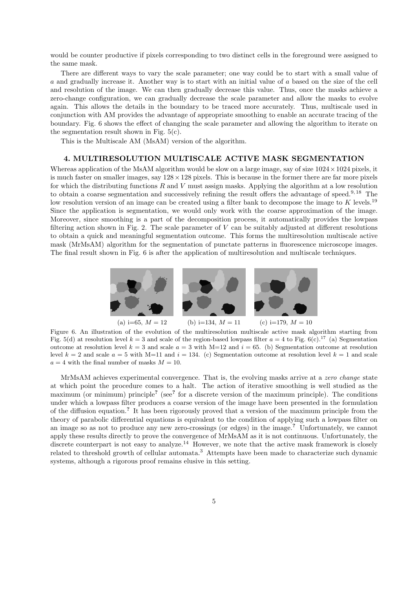would be counter productive if pixels corresponding to two distinct cells in the foreground were assigned to the same mask.

There are different ways to vary the scale parameter; one way could be to start with a small value of a and gradually increase it. Another way is to start with an initial value of a based on the size of the cell and resolution of the image. We can then gradually decrease this value. Thus, once the masks achieve a zero-change configuration, we can gradually decrease the scale parameter and allow the masks to evolve again. This allows the details in the boundary to be traced more accurately. Thus, multiscale used in conjunction with AM provides the advantage of appropriate smoothing to enable an accurate tracing of the boundary. Fig. 6 shows the effect of changing the scale parameter and allowing the algorithm to iterate on the segmentation result shown in Fig.  $5(c)$ .

This is the Multiscale AM (MsAM) version of the algorithm.

## 4. MULTIRESOLUTION MULTISCALE ACTIVE MASK SEGMENTATION

Whereas application of the MsAM algorithm would be slow on a large image, say of size  $1024 \times 1024$  pixels, it is much faster on smaller images, say  $128 \times 128$  pixels. This is because in the former there are far more pixels for which the distributing functions  $R$  and  $V$  must assign masks. Applying the algorithm at a low resolution to obtain a coarse segmentation and successively refining the result offers the advantage of speed.9, 18 The low resolution version of an image can be created using a filter bank to decompose the image to  $K$  levels.<sup>19</sup> Since the application is segmentation, we would only work with the coarse approximation of the image. Moreover, since smoothing is a part of the decomposition process, it automatically provides the lowpass filtering action shown in Fig. 2. The scale parameter of  $V$  can be suitably adjusted at different resolutions to obtain a quick and meaningful segmentation outcome. This forms the multiresolution multiscale active mask (MrMsAM) algorithm for the segmentation of punctate patterns in fluorescence microscope images. The final result shown in Fig. 6 is after the application of multiresolution and multiscale techniques.



Figure 6. An illustration of the evolution of the multiresolution multiscale active mask algorithm starting from Fig. 5(d) at resolution level  $k = 3$  and scale of the region-based lowpass filter  $a = 4$  to Fig. 6(c).<sup>17</sup> (a) Segmentation outcome at resolution level  $k = 3$  and scale  $a = 3$  with M=12 and  $i = 65$ . (b) Segmentation outcome at resolution level  $k = 2$  and scale  $a = 5$  with M=11 and  $i = 134$ . (c) Segmentation outcome at resolution level  $k = 1$  and scale  $a = 4$  with the final number of masks  $M = 10$ .

MrMsAM achieves experimental convergence. That is, the evolving masks arrive at a zero change state at which point the procedure comes to a halt. The action of iterative smoothing is well studied as the maximum (or minimum) principle<sup>?</sup> (see<sup>?</sup> for a discrete version of the maximum principle). The conditions under which a lowpass filter produces a coarse version of the image have been presented in the formulation of the diffusion equation.? It has been rigorously proved that a version of the maximum principle from the theory of parabolic differential equations is equivalent to the condition of applying such a lowpass filter on an image so as not to produce any new zero-crossings (or edges) in the image.? Unfortunately, we cannot apply these results directly to prove the convergence of MrMsAM as it is not continuous. Unfortunately, the discrete counterpart is not easy to analyze.<sup>14</sup> However, we note that the active mask framework is closely related to threshold growth of cellular automata.<sup>3</sup> Attempts have been made to characterize such dynamic systems, although a rigorous proof remains elusive in this setting.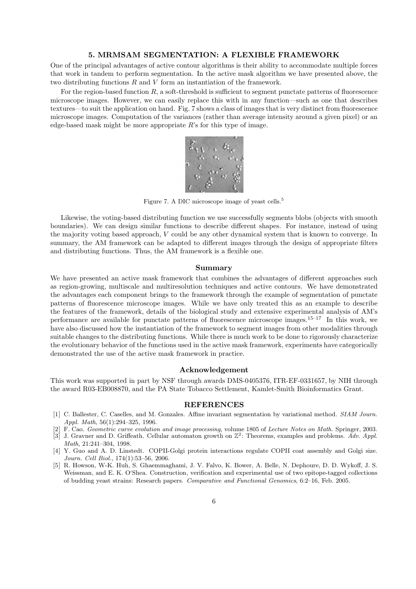## 5. MRMSAM SEGMENTATION: A FLEXIBLE FRAMEWORK

One of the principal advantages of active contour algorithms is their ability to accommodate multiple forces that work in tandem to perform segmentation. In the active mask algorithm we have presented above, the two distributing functions R and V form an instantiation of the framework.

For the region-based function R, a soft-threshold is sufficient to segment punctate patterns of fluorescence microscope images. However, we can easily replace this with in any function—such as one that describes textures—to suit the application on hand. Fig. 7 shows a class of images that is very distinct from fluorescence microscope images. Computation of the variances (rather than average intensity around a given pixel) or an edge-based mask might be more appropriate  $R$ 's for this type of image.



Figure 7. A DIC microscope image of yeast cells.<sup>5</sup>

Likewise, the voting-based distributing function we use successfully segments blobs (objects with smooth boundaries). We can design similar functions to describe different shapes. For instance, instead of using the majority voting based approach, V could be any other dynamical system that is known to converge. In summary, the AM framework can be adapted to different images through the design of appropriate filters and distributing functions. Thus, the AM framework is a flexible one.

#### Summary

We have presented an active mask framework that combines the advantages of different approaches such as region-growing, multiscale and multiresolution techniques and active contours. We have demonstrated the advantages each component brings to the framework through the example of segmentation of punctate patterns of fluorescence microscope images. While we have only treated this as an example to describe the features of the framework, details of the biological study and extensive experimental analysis of AM's performance are available for punctate patterns of fluorescence microscope images.15–17 In this work, we have also discussed how the instantiation of the framework to segment images from other modalities through suitable changes to the distributing functions. While there is much work to be done to rigorously characterize the evolutionary behavior of the functions used in the active mask framework, experiments have categorically demonstrated the use of the active mask framework in practice.

## Acknowledgement

This work was supported in part by NSF through awards DMS-0405376, ITR-EF-0331657, by NIH through the award R03-EB008870, and the PA State Tobacco Settlement, Kamlet-Smith Bioinformatics Grant.

#### REFERENCES

- [1] C. Ballester, C. Caselles, and M. Gonzales. Affine invariant segmentation by variational method. SIAM Journ. Appl. Math, 56(1):294–325, 1996.
- [2] F. Cao. Geometric curve evolution and image processing, volume 1805 of Lecture Notes on Math. Springer, 2003.  $\begin{bmatrix} 3 & 1 \end{bmatrix}$  J. Gravner and D. Griffeath. Cellular automaton growth on  $\mathbb{Z}^2$ : Theorems, examples and problems. Adv. Appl.
- Math, 21:241–304, 1998.
- [4] Y. Guo and A. D. Linstedt. COPII-Golgi protein interactions regulate COPII coat assembly and Golgi size. Journ. Cell Biol., 174(1):53–56, 2006.
- [5] R. Howson, W-K. Huh, S. Ghaemmaghami, J. V. Falvo, K. Bower, A. Belle, N. Dephoure, D. D. Wykoff, J. S. Weissman, and E. K. O'Shea. Construction, verification and experimental use of two epitope-tagged collections of budding yeast strains: Research papers. Comparative and Functional Genomics, 6:2–16, Feb. 2005.